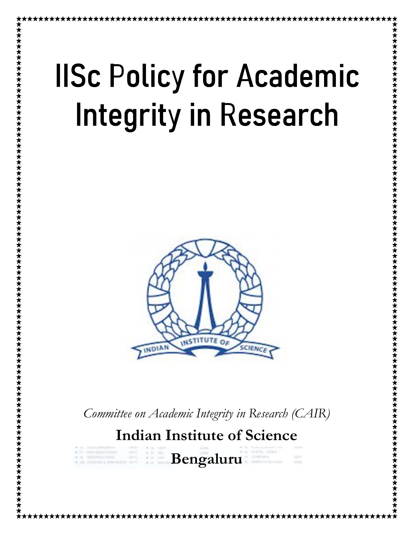# **IISc Policy for Academic Integrity in Research**



Committee on Academic Integrity in Research (CAIR)

Indian Institute of Science

囉

 $\begin{array}{c} \mu \gg \alpha \mu \\ \nu \equiv \alpha \mu \end{array}$ 

Bengaluru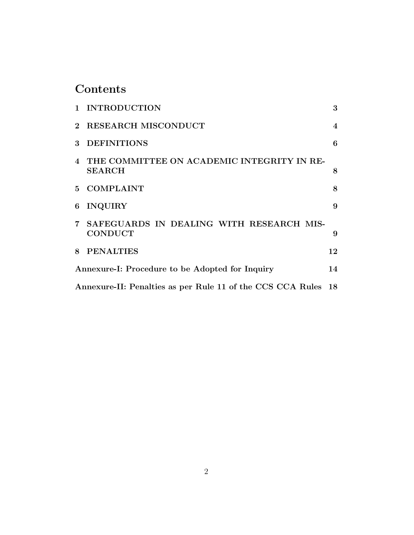# Contents

|                                                               | 1 INTRODUCTION                                               | 3              |
|---------------------------------------------------------------|--------------------------------------------------------------|----------------|
| $2^{\circ}$                                                   | <b>RESEARCH MISCONDUCT</b>                                   | $\overline{4}$ |
| 3                                                             | <b>DEFINITIONS</b>                                           | 6              |
| 4                                                             | THE COMMITTEE ON ACADEMIC INTEGRITY IN RE-<br><b>SEARCH</b>  | 8              |
|                                                               | 5 COMPLAINT                                                  | 8              |
| 6                                                             | <b>INQUIRY</b>                                               | 9              |
|                                                               | 7 SAFEGUARDS IN DEALING WITH RESEARCH MIS-<br><b>CONDUCT</b> | 9              |
| 8                                                             | <b>PENALTIES</b>                                             | 12             |
|                                                               | Annexure-I: Procedure to be Adopted for Inquiry              |                |
| Annexure-II: Penalties as per Rule 11 of the CCS CCA Rules 18 |                                                              |                |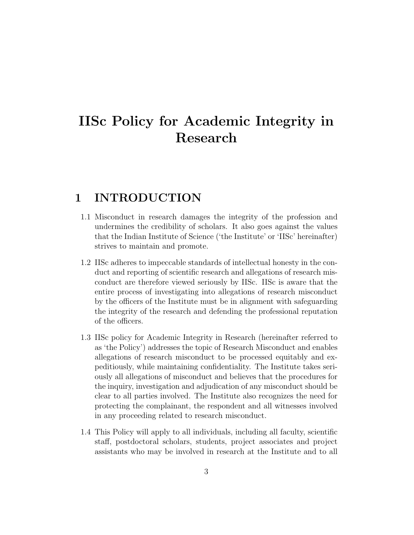# IISc Policy for Academic Integrity in Research

## 1 INTRODUCTION

- 1.1 Misconduct in research damages the integrity of the profession and undermines the credibility of scholars. It also goes against the values that the Indian Institute of Science ('the Institute' or 'IISc' hereinafter) strives to maintain and promote.
- 1.2 IISc adheres to impeccable standards of intellectual honesty in the conduct and reporting of scientific research and allegations of research misconduct are therefore viewed seriously by IISc. IISc is aware that the entire process of investigating into allegations of research misconduct by the officers of the Institute must be in alignment with safeguarding the integrity of the research and defending the professional reputation of the officers.
- 1.3 IISc policy for Academic Integrity in Research (hereinafter referred to as 'the Policy') addresses the topic of Research Misconduct and enables allegations of research misconduct to be processed equitably and expeditiously, while maintaining confidentiality. The Institute takes seriously all allegations of misconduct and believes that the procedures for the inquiry, investigation and adjudication of any misconduct should be clear to all parties involved. The Institute also recognizes the need for protecting the complainant, the respondent and all witnesses involved in any proceeding related to research misconduct.
- 1.4 This Policy will apply to all individuals, including all faculty, scientific staff, postdoctoral scholars, students, project associates and project assistants who may be involved in research at the Institute and to all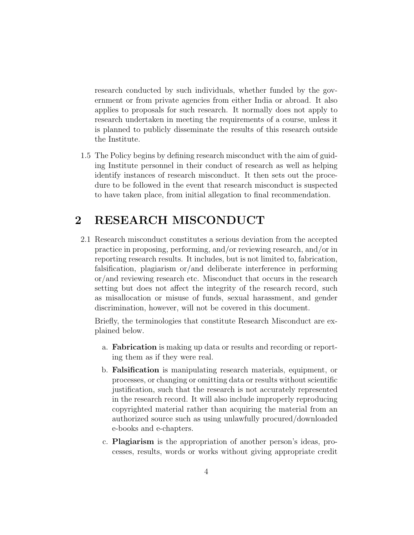research conducted by such individuals, whether funded by the government or from private agencies from either India or abroad. It also applies to proposals for such research. It normally does not apply to research undertaken in meeting the requirements of a course, unless it is planned to publicly disseminate the results of this research outside the Institute.

1.5 The Policy begins by defining research misconduct with the aim of guiding Institute personnel in their conduct of research as well as helping identify instances of research misconduct. It then sets out the procedure to be followed in the event that research misconduct is suspected to have taken place, from initial allegation to final recommendation.

## 2 RESEARCH MISCONDUCT

2.1 Research misconduct constitutes a serious deviation from the accepted practice in proposing, performing, and/or reviewing research, and/or in reporting research results. It includes, but is not limited to, fabrication, falsification, plagiarism or/and deliberate interference in performing or/and reviewing research etc. Misconduct that occurs in the research setting but does not affect the integrity of the research record, such as misallocation or misuse of funds, sexual harassment, and gender discrimination, however, will not be covered in this document.

Briefly, the terminologies that constitute Research Misconduct are explained below.

- a. Fabrication is making up data or results and recording or reporting them as if they were real.
- b. Falsification is manipulating research materials, equipment, or processes, or changing or omitting data or results without scientific justification, such that the research is not accurately represented in the research record. It will also include improperly reproducing copyrighted material rather than acquiring the material from an authorized source such as using unlawfully procured/downloaded e-books and e-chapters.
- c. Plagiarism is the appropriation of another person's ideas, processes, results, words or works without giving appropriate credit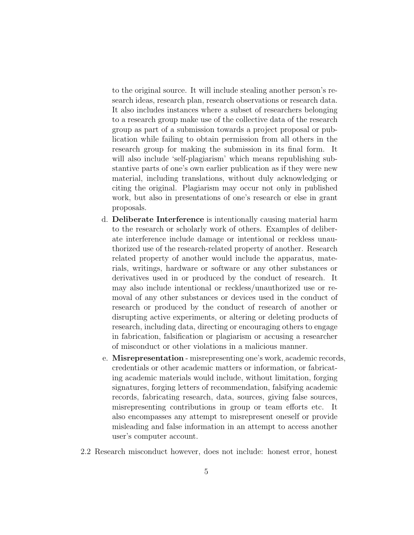to the original source. It will include stealing another person's research ideas, research plan, research observations or research data. It also includes instances where a subset of researchers belonging to a research group make use of the collective data of the research group as part of a submission towards a project proposal or publication while failing to obtain permission from all others in the research group for making the submission in its final form. It will also include 'self-plagiarism' which means republishing substantive parts of one's own earlier publication as if they were new material, including translations, without duly acknowledging or citing the original. Plagiarism may occur not only in published work, but also in presentations of one's research or else in grant proposals.

- d. Deliberate Interference is intentionally causing material harm to the research or scholarly work of others. Examples of deliberate interference include damage or intentional or reckless unauthorized use of the research-related property of another. Research related property of another would include the apparatus, materials, writings, hardware or software or any other substances or derivatives used in or produced by the conduct of research. It may also include intentional or reckless/unauthorized use or removal of any other substances or devices used in the conduct of research or produced by the conduct of research of another or disrupting active experiments, or altering or deleting products of research, including data, directing or encouraging others to engage in fabrication, falsification or plagiarism or accusing a researcher of misconduct or other violations in a malicious manner.
- e. Misrepresentation misrepresenting one's work, academic records, credentials or other academic matters or information, or fabricating academic materials would include, without limitation, forging signatures, forging letters of recommendation, falsifying academic records, fabricating research, data, sources, giving false sources, misrepresenting contributions in group or team efforts etc. It also encompasses any attempt to misrepresent oneself or provide misleading and false information in an attempt to access another user's computer account.
- 2.2 Research misconduct however, does not include: honest error, honest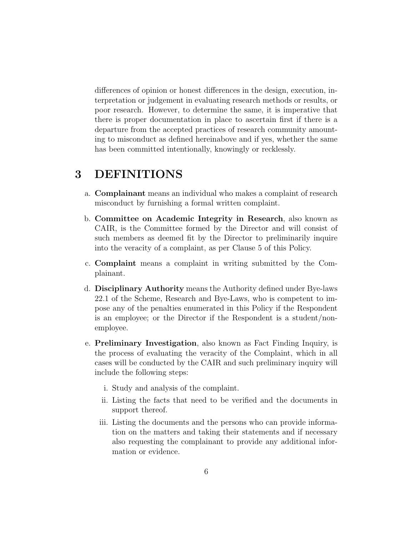differences of opinion or honest differences in the design, execution, interpretation or judgement in evaluating research methods or results, or poor research. However, to determine the same, it is imperative that there is proper documentation in place to ascertain first if there is a departure from the accepted practices of research community amounting to misconduct as defined hereinabove and if yes, whether the same has been committed intentionally, knowingly or recklessly.

## 3 DEFINITIONS

- a. Complainant means an individual who makes a complaint of research misconduct by furnishing a formal written complaint.
- b. Committee on Academic Integrity in Research, also known as CAIR, is the Committee formed by the Director and will consist of such members as deemed fit by the Director to preliminarily inquire into the veracity of a complaint, as per Clause 5 of this Policy.
- c. Complaint means a complaint in writing submitted by the Complainant.
- d. Disciplinary Authority means the Authority defined under Bye-laws 22.1 of the Scheme, Research and Bye-Laws, who is competent to impose any of the penalties enumerated in this Policy if the Respondent is an employee; or the Director if the Respondent is a student/nonemployee.
- e. Preliminary Investigation, also known as Fact Finding Inquiry, is the process of evaluating the veracity of the Complaint, which in all cases will be conducted by the CAIR and such preliminary inquiry will include the following steps:
	- i. Study and analysis of the complaint.
	- ii. Listing the facts that need to be verified and the documents in support thereof.
	- iii. Listing the documents and the persons who can provide information on the matters and taking their statements and if necessary also requesting the complainant to provide any additional information or evidence.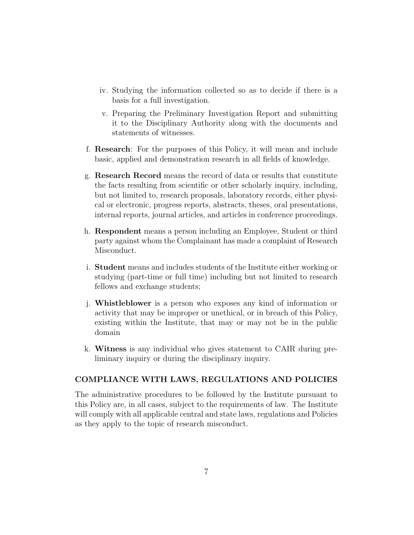- iv. Studying the information collected so as to decide if there is a basis for a full investigation.
- v. Preparing the Preliminary Investigation Report and submitting it to the Disciplinary Authority along with the documents and statements of witnesses.
- f. Research: For the purposes of this Policy, it will mean and include basic, applied and demonstration research in all fields of knowledge.
- g. Research Record means the record of data or results that constitute the facts resulting from scientific or other scholarly inquiry, including, but not limited to, research proposals, laboratory records, either physical or electronic, progress reports, abstracts, theses, oral presentations, internal reports, journal articles, and articles in conference proceedings.
- h. Respondent means a person including an Employee, Student or third party against whom the Complainant has made a complaint of Research Misconduct.
- i. Student means and includes students of the Institute either working or studying (part-time or full time) including but not limited to research fellows and exchange students;
- j. Whistleblower is a person who exposes any kind of information or activity that may be improper or unethical, or in breach of this Policy, existing within the Institute, that may or may not be in the public domain
- k. Witness is any individual who gives statement to CAIR during preliminary inquiry or during the disciplinary inquiry.

#### COMPLIANCE WITH LAWS, REGULATIONS AND POLICIES

The administrative procedures to be followed by the Institute pursuant to this Policy are, in all cases, subject to the requirements of law. The Institute will comply with all applicable central and state laws, regulations and Policies as they apply to the topic of research misconduct.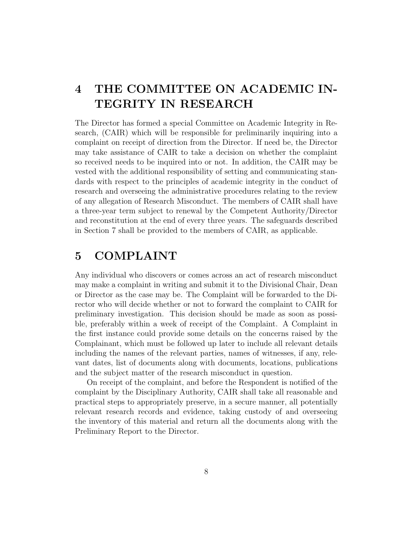# 4 THE COMMITTEE ON ACADEMIC IN-TEGRITY IN RESEARCH

The Director has formed a special Committee on Academic Integrity in Research, (CAIR) which will be responsible for preliminarily inquiring into a complaint on receipt of direction from the Director. If need be, the Director may take assistance of CAIR to take a decision on whether the complaint so received needs to be inquired into or not. In addition, the CAIR may be vested with the additional responsibility of setting and communicating standards with respect to the principles of academic integrity in the conduct of research and overseeing the administrative procedures relating to the review of any allegation of Research Misconduct. The members of CAIR shall have a three-year term subject to renewal by the Competent Authority/Director and reconstitution at the end of every three years. The safeguards described in Section 7 shall be provided to the members of CAIR, as applicable.

## 5 COMPLAINT

Any individual who discovers or comes across an act of research misconduct may make a complaint in writing and submit it to the Divisional Chair, Dean or Director as the case may be. The Complaint will be forwarded to the Director who will decide whether or not to forward the complaint to CAIR for preliminary investigation. This decision should be made as soon as possible, preferably within a week of receipt of the Complaint. A Complaint in the first instance could provide some details on the concerns raised by the Complainant, which must be followed up later to include all relevant details including the names of the relevant parties, names of witnesses, if any, relevant dates, list of documents along with documents, locations, publications and the subject matter of the research misconduct in question.

On receipt of the complaint, and before the Respondent is notified of the complaint by the Disciplinary Authority, CAIR shall take all reasonable and practical steps to appropriately preserve, in a secure manner, all potentially relevant research records and evidence, taking custody of and overseeing the inventory of this material and return all the documents along with the Preliminary Report to the Director.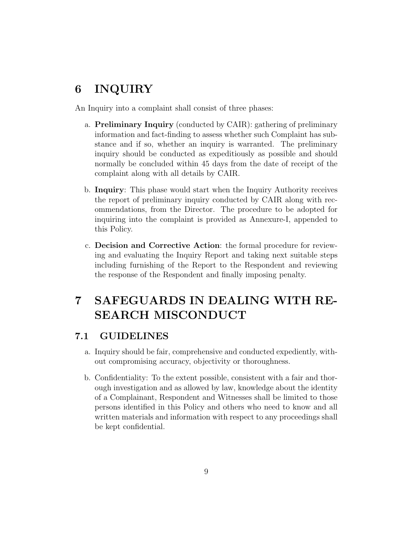## 6 INQUIRY

An Inquiry into a complaint shall consist of three phases:

- a. Preliminary Inquiry (conducted by CAIR): gathering of preliminary information and fact-finding to assess whether such Complaint has substance and if so, whether an inquiry is warranted. The preliminary inquiry should be conducted as expeditiously as possible and should normally be concluded within 45 days from the date of receipt of the complaint along with all details by CAIR.
- b. Inquiry: This phase would start when the Inquiry Authority receives the report of preliminary inquiry conducted by CAIR along with recommendations, from the Director. The procedure to be adopted for inquiring into the complaint is provided as Annexure-I, appended to this Policy.
- c. Decision and Corrective Action: the formal procedure for reviewing and evaluating the Inquiry Report and taking next suitable steps including furnishing of the Report to the Respondent and reviewing the response of the Respondent and finally imposing penalty.

# 7 SAFEGUARDS IN DEALING WITH RE-SEARCH MISCONDUCT

#### 7.1 GUIDELINES

- a. Inquiry should be fair, comprehensive and conducted expediently, without compromising accuracy, objectivity or thoroughness.
- b. Confidentiality: To the extent possible, consistent with a fair and thorough investigation and as allowed by law, knowledge about the identity of a Complainant, Respondent and Witnesses shall be limited to those persons identified in this Policy and others who need to know and all written materials and information with respect to any proceedings shall be kept confidential.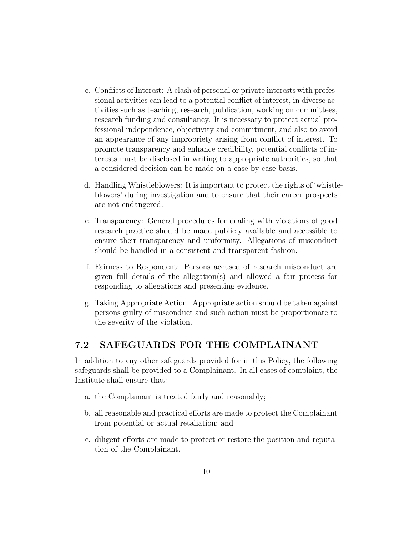- c. Conflicts of Interest: A clash of personal or private interests with professional activities can lead to a potential conflict of interest, in diverse activities such as teaching, research, publication, working on committees, research funding and consultancy. It is necessary to protect actual professional independence, objectivity and commitment, and also to avoid an appearance of any impropriety arising from conflict of interest. To promote transparency and enhance credibility, potential conflicts of interests must be disclosed in writing to appropriate authorities, so that a considered decision can be made on a case-by-case basis.
- d. Handling Whistleblowers: It is important to protect the rights of 'whistleblowers' during investigation and to ensure that their career prospects are not endangered.
- e. Transparency: General procedures for dealing with violations of good research practice should be made publicly available and accessible to ensure their transparency and uniformity. Allegations of misconduct should be handled in a consistent and transparent fashion.
- f. Fairness to Respondent: Persons accused of research misconduct are given full details of the allegation(s) and allowed a fair process for responding to allegations and presenting evidence.
- g. Taking Appropriate Action: Appropriate action should be taken against persons guilty of misconduct and such action must be proportionate to the severity of the violation.

#### 7.2 SAFEGUARDS FOR THE COMPLAINANT

In addition to any other safeguards provided for in this Policy, the following safeguards shall be provided to a Complainant. In all cases of complaint, the Institute shall ensure that:

- a. the Complainant is treated fairly and reasonably;
- b. all reasonable and practical efforts are made to protect the Complainant from potential or actual retaliation; and
- c. diligent efforts are made to protect or restore the position and reputation of the Complainant.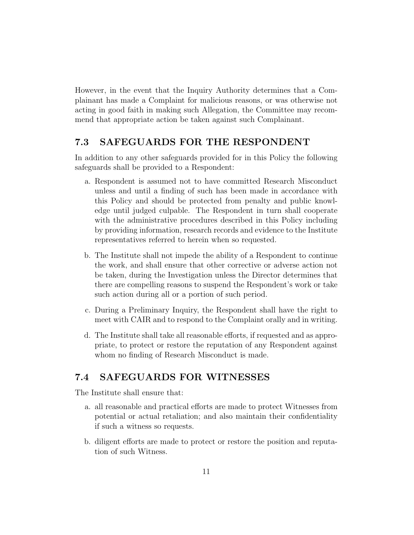However, in the event that the Inquiry Authority determines that a Complainant has made a Complaint for malicious reasons, or was otherwise not acting in good faith in making such Allegation, the Committee may recommend that appropriate action be taken against such Complainant.

#### 7.3 SAFEGUARDS FOR THE RESPONDENT

In addition to any other safeguards provided for in this Policy the following safeguards shall be provided to a Respondent:

- a. Respondent is assumed not to have committed Research Misconduct unless and until a finding of such has been made in accordance with this Policy and should be protected from penalty and public knowledge until judged culpable. The Respondent in turn shall cooperate with the administrative procedures described in this Policy including by providing information, research records and evidence to the Institute representatives referred to herein when so requested.
- b. The Institute shall not impede the ability of a Respondent to continue the work, and shall ensure that other corrective or adverse action not be taken, during the Investigation unless the Director determines that there are compelling reasons to suspend the Respondent's work or take such action during all or a portion of such period.
- c. During a Preliminary Inquiry, the Respondent shall have the right to meet with CAIR and to respond to the Complaint orally and in writing.
- d. The Institute shall take all reasonable efforts, if requested and as appropriate, to protect or restore the reputation of any Respondent against whom no finding of Research Misconduct is made.

#### 7.4 SAFEGUARDS FOR WITNESSES

The Institute shall ensure that:

- a. all reasonable and practical efforts are made to protect Witnesses from potential or actual retaliation; and also maintain their confidentiality if such a witness so requests.
- b. diligent efforts are made to protect or restore the position and reputation of such Witness.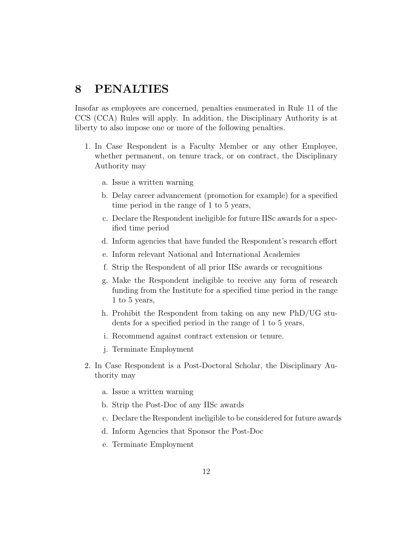#### 8 PENALTIES

Insofar as employees are concerned, penalties enumerated in Rule 11 of the CCS (CCA) Rules will apply. In addition, the Disciplinary Authority is at liberty to also impose one or more of the following penalties.

- 1. In Case Respondent is a Faculty Member or any other Employee, whether permanent, on tenure track, or on contract, the Disciplinary Authority may
	- a. Issue a written warning
	- b. Delay career advancement (promotion for example) for a specified time period in the range of 1 to 5 years,
	- c. Declare the Respondent ineligible for future IISc awards for a specified time period
	- d. Inform agencies that have funded the Respondent's research effort
	- e. Inform relevant National and International Academies
	- f. Strip the Respondent of all prior IISc awards or recognitions
	- g. Make the Respondent ineligible to receive any form of research funding from the Institute for a specified time period in the range 1 to 5 years,
	- h. Prohibit the Respondent from taking on any new PhD/UG students for a specified period in the range of 1 to 5 years,
	- i. Recommend against contract extension or tenure.
	- j. Terminate Employment
- 2. In Case Respondent is a Post-Doctoral Scholar, the Disciplinary Authority may
	- a. Issue a written warning
	- b. Strip the Post-Doc of any IISc awards
	- c. Declare the Respondent ineligible to be considered for future awards
	- d. Inform Agencies that Sponsor the Post-Doc
	- e. Terminate Employment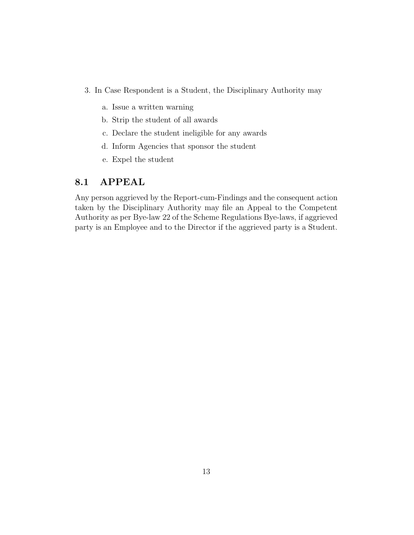- 3. In Case Respondent is a Student, the Disciplinary Authority may
	- a. Issue a written warning
	- b. Strip the student of all awards
	- c. Declare the student ineligible for any awards
	- d. Inform Agencies that sponsor the student
	- e. Expel the student

#### 8.1 APPEAL

Any person aggrieved by the Report-cum-Findings and the consequent action taken by the Disciplinary Authority may file an Appeal to the Competent Authority as per Bye-law 22 of the Scheme Regulations Bye-laws, if aggrieved party is an Employee and to the Director if the aggrieved party is a Student.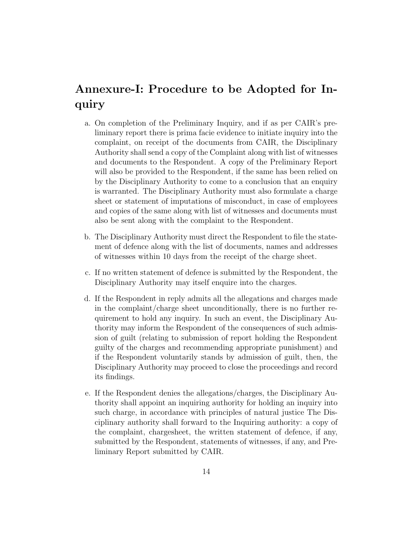## Annexure-I: Procedure to be Adopted for Inquiry

- a. On completion of the Preliminary Inquiry, and if as per CAIR's preliminary report there is prima facie evidence to initiate inquiry into the complaint, on receipt of the documents from CAIR, the Disciplinary Authority shall send a copy of the Complaint along with list of witnesses and documents to the Respondent. A copy of the Preliminary Report will also be provided to the Respondent, if the same has been relied on by the Disciplinary Authority to come to a conclusion that an enquiry is warranted. The Disciplinary Authority must also formulate a charge sheet or statement of imputations of misconduct, in case of employees and copies of the same along with list of witnesses and documents must also be sent along with the complaint to the Respondent.
- b. The Disciplinary Authority must direct the Respondent to file the statement of defence along with the list of documents, names and addresses of witnesses within 10 days from the receipt of the charge sheet.
- c. If no written statement of defence is submitted by the Respondent, the Disciplinary Authority may itself enquire into the charges.
- d. If the Respondent in reply admits all the allegations and charges made in the complaint/charge sheet unconditionally, there is no further requirement to hold any inquiry. In such an event, the Disciplinary Authority may inform the Respondent of the consequences of such admission of guilt (relating to submission of report holding the Respondent guilty of the charges and recommending appropriate punishment) and if the Respondent voluntarily stands by admission of guilt, then, the Disciplinary Authority may proceed to close the proceedings and record its findings.
- e. If the Respondent denies the allegations/charges, the Disciplinary Authority shall appoint an inquiring authority for holding an inquiry into such charge, in accordance with principles of natural justice The Disciplinary authority shall forward to the Inquiring authority: a copy of the complaint, chargesheet, the written statement of defence, if any, submitted by the Respondent, statements of witnesses, if any, and Preliminary Report submitted by CAIR.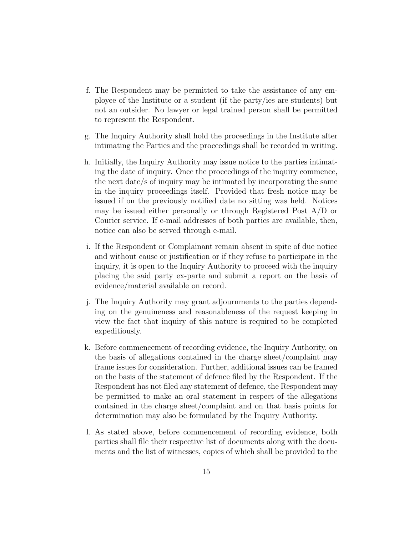- f. The Respondent may be permitted to take the assistance of any employee of the Institute or a student (if the party/ies are students) but not an outsider. No lawyer or legal trained person shall be permitted to represent the Respondent.
- g. The Inquiry Authority shall hold the proceedings in the Institute after intimating the Parties and the proceedings shall be recorded in writing.
- h. Initially, the Inquiry Authority may issue notice to the parties intimating the date of inquiry. Once the proceedings of the inquiry commence, the next date/s of inquiry may be intimated by incorporating the same in the inquiry proceedings itself. Provided that fresh notice may be issued if on the previously notified date no sitting was held. Notices may be issued either personally or through Registered Post A/D or Courier service. If e-mail addresses of both parties are available, then, notice can also be served through e-mail.
- i. If the Respondent or Complainant remain absent in spite of due notice and without cause or justification or if they refuse to participate in the inquiry, it is open to the Inquiry Authority to proceed with the inquiry placing the said party ex-parte and submit a report on the basis of evidence/material available on record.
- j. The Inquiry Authority may grant adjournments to the parties depending on the genuineness and reasonableness of the request keeping in view the fact that inquiry of this nature is required to be completed expeditiously.
- k. Before commencement of recording evidence, the Inquiry Authority, on the basis of allegations contained in the charge sheet/complaint may frame issues for consideration. Further, additional issues can be framed on the basis of the statement of defence filed by the Respondent. If the Respondent has not filed any statement of defence, the Respondent may be permitted to make an oral statement in respect of the allegations contained in the charge sheet/complaint and on that basis points for determination may also be formulated by the Inquiry Authority.
- l. As stated above, before commencement of recording evidence, both parties shall file their respective list of documents along with the documents and the list of witnesses, copies of which shall be provided to the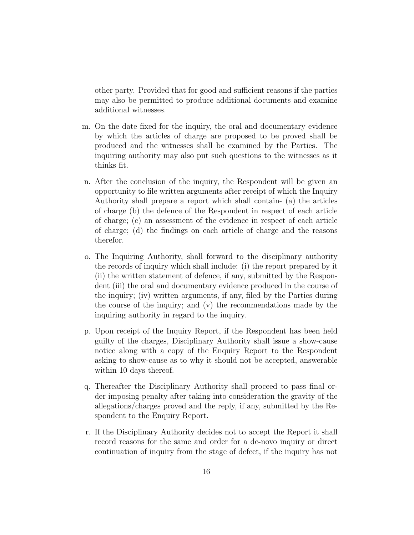other party. Provided that for good and sufficient reasons if the parties may also be permitted to produce additional documents and examine additional witnesses.

- m. On the date fixed for the inquiry, the oral and documentary evidence by which the articles of charge are proposed to be proved shall be produced and the witnesses shall be examined by the Parties. The inquiring authority may also put such questions to the witnesses as it thinks fit.
- n. After the conclusion of the inquiry, the Respondent will be given an opportunity to file written arguments after receipt of which the Inquiry Authority shall prepare a report which shall contain- (a) the articles of charge (b) the defence of the Respondent in respect of each article of charge; (c) an assessment of the evidence in respect of each article of charge; (d) the findings on each article of charge and the reasons therefor.
- o. The Inquiring Authority, shall forward to the disciplinary authority the records of inquiry which shall include: (i) the report prepared by it (ii) the written statement of defence, if any, submitted by the Respondent (iii) the oral and documentary evidence produced in the course of the inquiry; (iv) written arguments, if any, filed by the Parties during the course of the inquiry; and (v) the recommendations made by the inquiring authority in regard to the inquiry.
- p. Upon receipt of the Inquiry Report, if the Respondent has been held guilty of the charges, Disciplinary Authority shall issue a show-cause notice along with a copy of the Enquiry Report to the Respondent asking to show-cause as to why it should not be accepted, answerable within 10 days thereof.
- q. Thereafter the Disciplinary Authority shall proceed to pass final order imposing penalty after taking into consideration the gravity of the allegations/charges proved and the reply, if any, submitted by the Respondent to the Enquiry Report.
- r. If the Disciplinary Authority decides not to accept the Report it shall record reasons for the same and order for a de-novo inquiry or direct continuation of inquiry from the stage of defect, if the inquiry has not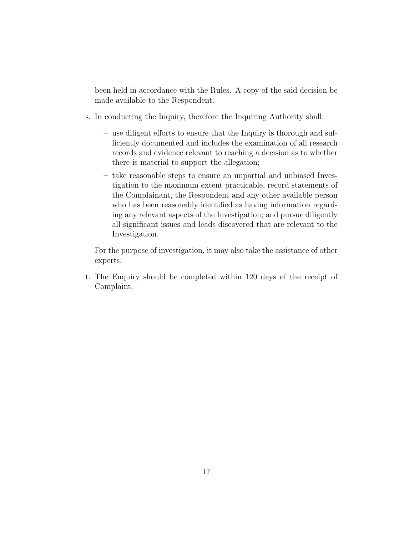been held in accordance with the Rules. A copy of the said decision be made available to the Respondent.

- s. In conducting the Inquiry, therefore the Inquiring Authority shall:
	- use diligent efforts to ensure that the Inquiry is thorough and sufficiently documented and includes the examination of all research records and evidence relevant to reaching a decision as to whether there is material to support the allegation;
	- take reasonable steps to ensure an impartial and unbiased Investigation to the maximum extent practicable, record statements of the Complainant, the Respondent and any other available person who has been reasonably identified as having information regarding any relevant aspects of the Investigation; and pursue diligently all significant issues and leads discovered that are relevant to the Investigation.

For the purpose of investigation, it may also take the assistance of other experts.

t. The Enquiry should be completed within 120 days of the receipt of Complaint.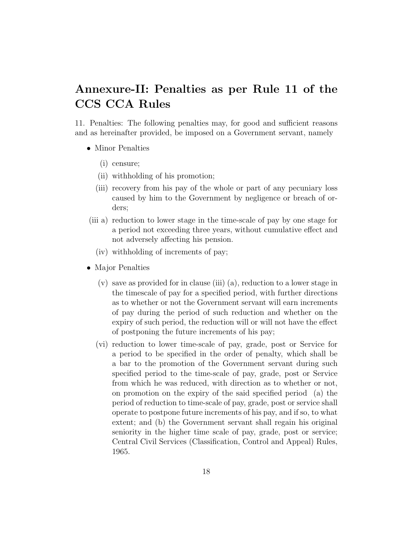## Annexure-II: Penalties as per Rule 11 of the CCS CCA Rules

11. Penalties: The following penalties may, for good and sufficient reasons and as hereinafter provided, be imposed on a Government servant, namely

- Minor Penalties
	- (i) censure;
	- (ii) withholding of his promotion;
	- (iii) recovery from his pay of the whole or part of any pecuniary loss caused by him to the Government by negligence or breach of orders;
- (iii a) reduction to lower stage in the time-scale of pay by one stage for a period not exceeding three years, without cumulative effect and not adversely affecting his pension.
	- (iv) withholding of increments of pay;
- Major Penalties
	- (v) save as provided for in clause (iii) (a), reduction to a lower stage in the timescale of pay for a specified period, with further directions as to whether or not the Government servant will earn increments of pay during the period of such reduction and whether on the expiry of such period, the reduction will or will not have the effect of postponing the future increments of his pay;
	- (vi) reduction to lower time-scale of pay, grade, post or Service for a period to be specified in the order of penalty, which shall be a bar to the promotion of the Government servant during such specified period to the time-scale of pay, grade, post or Service from which he was reduced, with direction as to whether or not, on promotion on the expiry of the said specified period (a) the period of reduction to time-scale of pay, grade, post or service shall operate to postpone future increments of his pay, and if so, to what extent; and (b) the Government servant shall regain his original seniority in the higher time scale of pay, grade, post or service; Central Civil Services (Classification, Control and Appeal) Rules, 1965.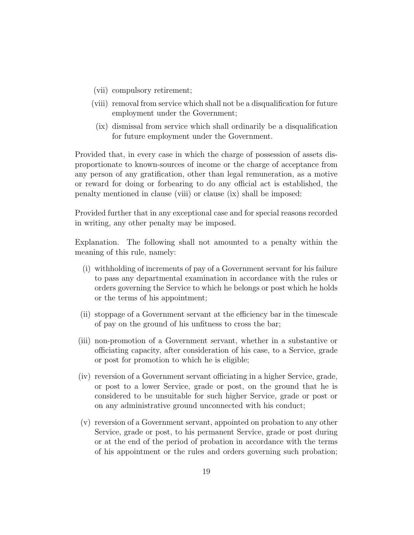- (vii) compulsory retirement;
- (viii) removal from service which shall not be a disqualification for future employment under the Government;
- (ix) dismissal from service which shall ordinarily be a disqualification for future employment under the Government.

Provided that, in every case in which the charge of possession of assets disproportionate to known-sources of income or the charge of acceptance from any person of any gratification, other than legal remuneration, as a motive or reward for doing or forbearing to do any official act is established, the penalty mentioned in clause (viii) or clause (ix) shall be imposed:

Provided further that in any exceptional case and for special reasons recorded in writing, any other penalty may be imposed.

Explanation. The following shall not amounted to a penalty within the meaning of this rule, namely:

- (i) withholding of increments of pay of a Government servant for his failure to pass any departmental examination in accordance with the rules or orders governing the Service to which he belongs or post which he holds or the terms of his appointment;
- (ii) stoppage of a Government servant at the efficiency bar in the timescale of pay on the ground of his unfitness to cross the bar;
- (iii) non-promotion of a Government servant, whether in a substantive or officiating capacity, after consideration of his case, to a Service, grade or post for promotion to which he is eligible;
- (iv) reversion of a Government servant officiating in a higher Service, grade, or post to a lower Service, grade or post, on the ground that he is considered to be unsuitable for such higher Service, grade or post or on any administrative ground unconnected with his conduct;
- (v) reversion of a Government servant, appointed on probation to any other Service, grade or post, to his permanent Service, grade or post during or at the end of the period of probation in accordance with the terms of his appointment or the rules and orders governing such probation;